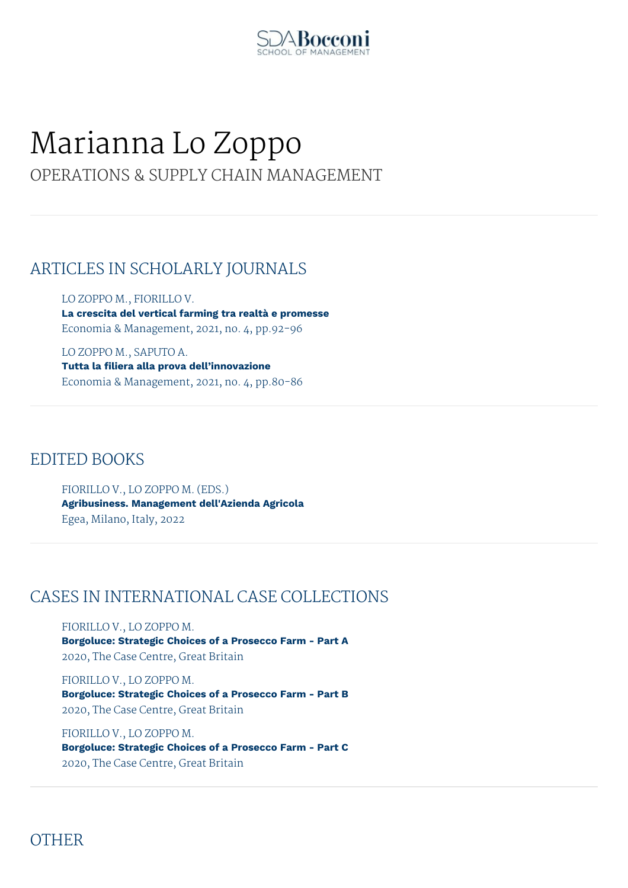

# Marianna Lo Zoppo

## OPERATIONS & SUPPLY CHAIN MANAGEMENT

## ARTICLES IN SCHOLARLY JOURNALS

LO ZOPPO M., FIORILLO V. **La crescita del vertical farming tra realtà e promesse** Economia & Management, 2021, no. 4, pp.92-96

LO ZOPPO M., SAPUTO A. **Tutta la filiera alla prova dell'innovazione** Economia & Management, 2021, no. 4, pp.80-86

#### EDITED BOOKS

FIORILLO V., LO ZOPPO M. (EDS.) **Agribusiness. Management dell'Azienda Agricola** Egea, Milano, Italy, 2022

## CASES IN INTERNATIONAL CASE COLLECTIONS

FIORILLO V., LO ZOPPO M. **Borgoluce: Strategic Choices of a Prosecco Farm - Part A** 2020, The Case Centre, Great Britain

FIORILLO V., LO ZOPPO M. **Borgoluce: Strategic Choices of a Prosecco Farm - Part B** 2020, The Case Centre, Great Britain

FIORILLO V., LO ZOPPO M. **Borgoluce: Strategic Choices of a Prosecco Farm - Part C** 2020, The Case Centre, Great Britain

## **OTHER**